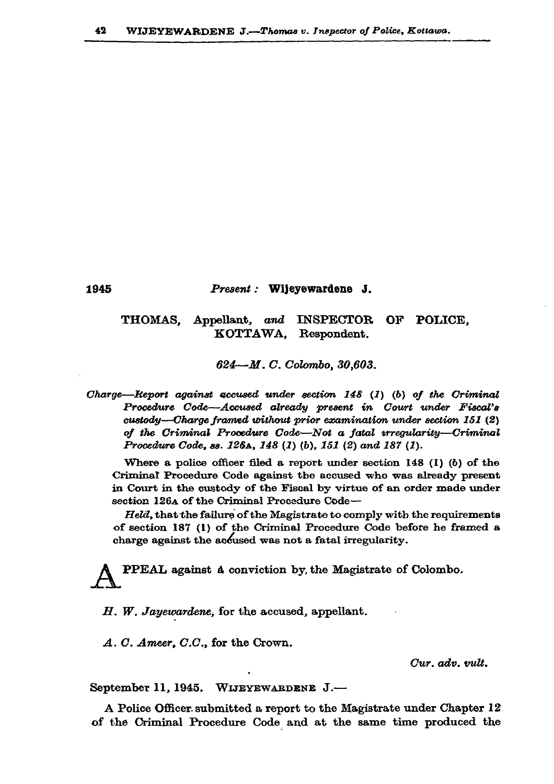## Present: Wijeyewardene J.

## THOMAS. Appellant, and INSPECTOR OF POLICE. KOTTAWA. Respondent.

624-M.C. Colombo, 30,603.

Charge—Keport against accused under section  $148$  (1) (b) of the Criminal Procedure Code-Accused already present in Court under Fiscal's custody—Charge framed without prior examination under section 151 (2) of the Criminal Procedure Code—Not a fatal irregularity—Criminal Procedure Code, ss. 126A, 148 (1) (b), 151 (2) and 187 (1).

Where a police officer filed a report under section 148  $(1)$   $(b)$  of the Criminal Procedure Code against the accused who was already present in Court in the custody of the Fiscal by virtue of an order made under section 1264 of the Criminal Procedure Code-

Held, that the failure of the Magistrate to comply with the requirements of section 187 (1) of the Criminal Procedure Code before he framed a charge against the accused was not a fatal irregularity.

PPEAL against a conviction by, the Magistrate of Colombo.

 $H.$  W. Jayewardene, for the accused, appellant.

A. C. Ameer, C.C., for the Crown.

1945

Cur. adv. vult.

September 11, 1945. WIJEYEWARDENE J.-

A Police Officer submitted a report to the Magistrate under Chapter 12 of the Criminal Procedure Code and at the same time produced the